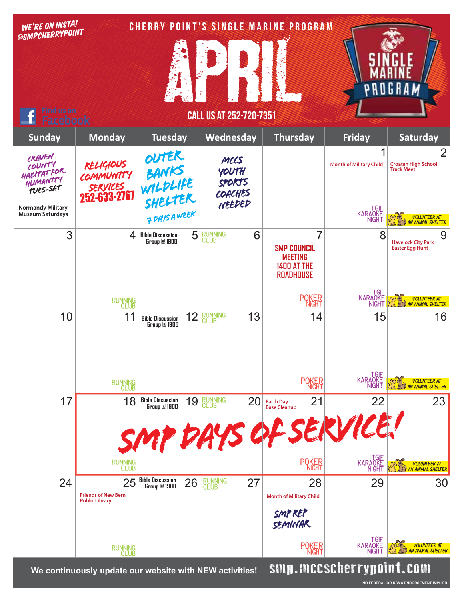| WE'RE ON INSTA!<br>@SMPCHERRYPOINT<br><b>Find us on</b>       |                                                           |                                                    |                                                     |    | CHERRY POINT'S SINGLE MARINE PROGRAM                                                |                                 | 6 K A                                                             |
|---------------------------------------------------------------|-----------------------------------------------------------|----------------------------------------------------|-----------------------------------------------------|----|-------------------------------------------------------------------------------------|---------------------------------|-------------------------------------------------------------------|
| <b>Facebook</b>                                               |                                                           |                                                    | <b>CALL US AT 252-720-7351</b>                      |    |                                                                                     |                                 |                                                                   |
| <b>Sunday</b>                                                 | <b>Monday</b>                                             | <b>Tuesday</b>                                     | Wednesday                                           |    | <b>Thursday</b>                                                                     | <b>Friday</b>                   | Saturday                                                          |
| CRAVEN<br>COUNTY<br>HABITATFOR<br>HUMANITY<br><b>TUES-SAT</b> | RELIGIOUS<br>COMMUNITY<br><i>services</i><br>252-633-2767 | OUTER<br>BANKS<br>WILDLIFE<br>SHELTER<br>PRYSAWEEK | MCCS<br>YOUTH<br><b>SPORTS</b><br>COACHES<br>NEEDED |    |                                                                                     | <b>Month of Military Child</b>  | $\overline{2}$<br><b>Croatan High School</b><br><b>Track Meet</b> |
| <b>Normandy Military</b><br><b>Museum Saturdays</b>           |                                                           |                                                    |                                                     |    |                                                                                     | TGIF<br>KARAOKE<br>NIGHT        | VOLUNTEER AT<br>AN ANIMAL SHELTER                                 |
| 3                                                             | 4                                                         | 5<br><b>Bible Discussion</b><br>Group @ 1900       | RUNNING<br>CLUB                                     | 6  | 7<br><b>SMP COUNCIL</b><br><b>MEETING</b><br><b>1400 AT THE</b><br><b>ROADHOUSE</b> | 8                               | 9<br><b>Havelock City Park</b><br><b>Easter Egg Hunt</b>          |
|                                                               | RUNNING<br>CLUB                                           |                                                    |                                                     |    | <b>POKER</b>                                                                        | TGIF<br>KARAQKE<br><b>NIGHT</b> | <b>VOLUNTEER AT</b><br>AN ANIMAL SHELTER                          |
| 10                                                            | 11                                                        | 12<br><b>Bible Discussion</b><br>Group @ 1900      | <b>RUNNING</b><br>CLUB                              | 13 | 14                                                                                  | 15                              | 16                                                                |
|                                                               | RUNNING<br>CLUB                                           |                                                    |                                                     |    | <b>POKER</b>                                                                        | TGIF<br>KARAQKE<br>NIGHT        | <b>VOLUNTEER AT</b><br>AN ANIMAL SHELTER                          |
| 17                                                            | 18                                                        | 19<br><b>Bible Discussion<br/>Group @ 1900</b>     | RUNNING<br>CLUB                                     | 20 | 21<br><b>Earth Day</b><br><b>Base Cleanup</b><br>AYS OF SERVICE!                    | 22                              | 23                                                                |
|                                                               | RUNNING<br>CLUB                                           |                                                    |                                                     |    | <b>POKER</b>                                                                        | TGIF<br>KARAOKE<br>NIGHT        | VOLUNTEER AT<br>AN ANIMAL SHELTER                                 |
| 24                                                            | 25<br><b>Friends of New Bern</b><br><b>Public Library</b> | <b>Bible Discussion<br/>Group @ 1900</b><br>26     | <b>RUNNING</b><br>CLUB                              | 27 | 28<br><b>Month of Military Child</b>                                                | 29                              | 30                                                                |
|                                                               |                                                           |                                                    |                                                     |    | SMY REP<br><b>SEMINAR</b>                                                           |                                 |                                                                   |
|                                                               | RUNNING<br>CLUB                                           |                                                    |                                                     |    | <b>POKER</b>                                                                        | TGIF<br>KARAOKE<br><b>NIGHT</b> | <b>VOLUNTEER AT</b><br><b>AN ANIMAL SHELTER</b>                   |
|                                                               | We continuously update our website with NEW activities!   |                                                    |                                                     |    |                                                                                     | smp.mccscherrypoint.com         |                                                                   |

**NO FEDERAL OR USMC ENDORSEMENT IMPLIED**